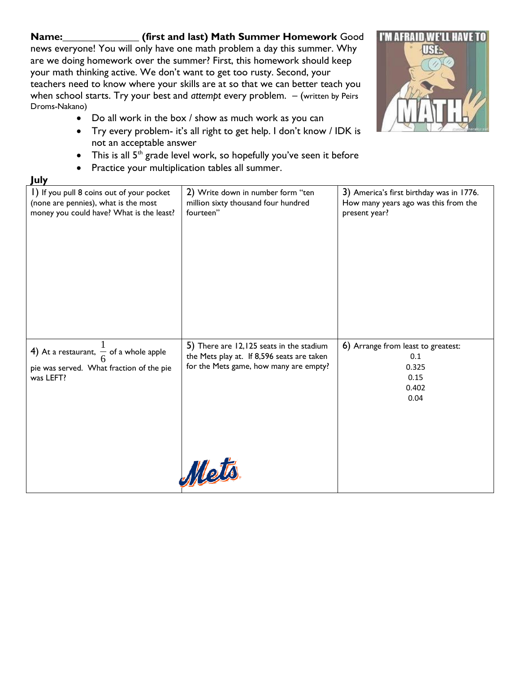## **Name:\_\_\_\_\_\_\_\_\_\_\_\_\_\_\_ (first and last) Math Summer Homework** Good

news everyone! You will only have one math problem a day this summer. Why are we doing homework over the summer? First, this homework should keep your math thinking active. We don't want to get too rusty. Second, your teachers need to know where your skills are at so that we can better teach you when school starts. Try your best and *attempt* every problem. – (written by Peirs Droms-Nakano)



- Do all work in the box / show as much work as you can
- Try every problem- it's all right to get help. I don't know / IDK is not an acceptable answer
- This is all  $5^{th}$  grade level work, so hopefully you've seen it before
- Practice your multiplication tables all summer.

## **July**

| I) If you pull 8 coins out of your pocket                                                                   | 2) Write down in number form "ten                                                                                                         | 3) America's first birthday was in 1776.                                    |
|-------------------------------------------------------------------------------------------------------------|-------------------------------------------------------------------------------------------------------------------------------------------|-----------------------------------------------------------------------------|
| (none are pennies), what is the most                                                                        | million sixty thousand four hundred                                                                                                       | How many years ago was this from the                                        |
| money you could have? What is the least?                                                                    | fourteen"                                                                                                                                 | present year?                                                               |
| 4) At a restaurant, $\frac{1}{6}$ of a whole apple<br>pie was served. What fraction of the pie<br>was LEFT? | 5) There are 12,125 seats in the stadium<br>the Mets play at. If 8,596 seats are taken<br>for the Mets game, how many are empty?<br>Mets. | 6) Arrange from least to greatest:<br>0.1<br>0.325<br>0.15<br>0.402<br>0.04 |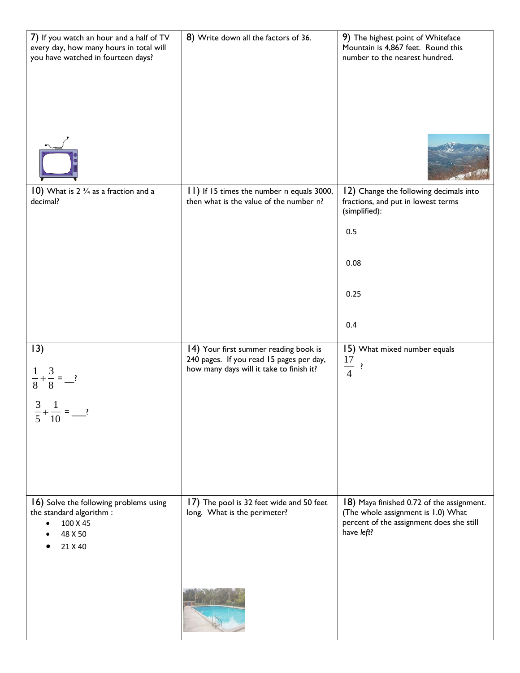| 7) If you watch an hour and a half of TV<br>every day, how many hours in total will<br>you have watched in fourteen days? | 8) Write down all the factors of 36.                                                                                          | 9) The highest point of Whiteface<br>Mountain is 4,867 feet. Round this<br>number to the nearest hundred.                                 |
|---------------------------------------------------------------------------------------------------------------------------|-------------------------------------------------------------------------------------------------------------------------------|-------------------------------------------------------------------------------------------------------------------------------------------|
| 10) What is $2 \frac{3}{4}$ as a fraction and a<br>decimal?                                                               | 11) If 15 times the number n equals 3000,<br>then what is the value of the number n?                                          | 12) Change the following decimals into<br>fractions, and put in lowest terms<br>(simplified):<br>0.5<br>0.08<br>0.25<br>0.4               |
| 13)<br>$\frac{1}{8} + \frac{3}{8} =$ - ?<br>3<br>$\mathbf{1}$<br>5<br>10                                                  | 14) Your first summer reading book is<br>240 pages. If you read 15 pages per day,<br>how many days will it take to finish it? | 15) What mixed number equals<br>17<br>$\frac{17}{4}$ ?                                                                                    |
| 16) Solve the following problems using<br>the standard algorithm :<br>100 X 45<br>$\bullet$<br>48 X 50<br>21 X 40         | 17) The pool is 32 feet wide and 50 feet<br>long. What is the perimeter?                                                      | 18) Maya finished 0.72 of the assignment.<br>(The whole assignment is 1.0) What<br>percent of the assignment does she still<br>have left? |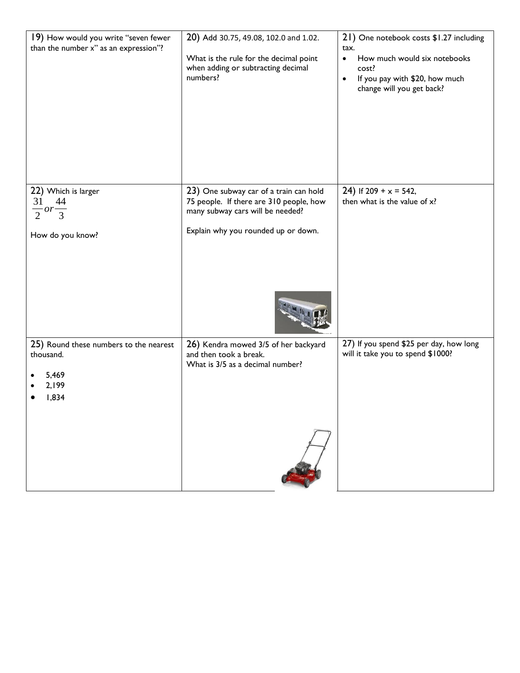| 19) How would you write "seven fewer<br>than the number x" as an expression"?  | 20) Add 30.75, 49.08, 102.0 and 1.02.<br>What is the rule for the decimal point<br>when adding or subtracting decimal<br>numbers? | 21) One notebook costs \$1.27 including<br>tax.<br>How much would six notebooks<br>$\bullet$<br>cost?<br>If you pay with \$20, how much<br>$\bullet$<br>change will you get back? |
|--------------------------------------------------------------------------------|-----------------------------------------------------------------------------------------------------------------------------------|-----------------------------------------------------------------------------------------------------------------------------------------------------------------------------------|
| 22) Which is larger<br>31<br>44                                                | 23) One subway car of a train can hold<br>75 people. If there are 310 people, how                                                 | 24) If 209 + $x = 542$ ,<br>then what is the value of x?                                                                                                                          |
| $\frac{1}{2}$ or $\frac{1}{3}$<br>How do you know?                             | many subway cars will be needed?<br>Explain why you rounded up or down.                                                           |                                                                                                                                                                                   |
|                                                                                |                                                                                                                                   |                                                                                                                                                                                   |
| 25) Round these numbers to the nearest<br>thousand.<br>5,469<br>2,199<br>1,834 | 26) Kendra mowed 3/5 of her backyard<br>and then took a break.<br>What is 3/5 as a decimal number?                                | 27) If you spend \$25 per day, how long<br>will it take you to spend \$1000?                                                                                                      |
|                                                                                |                                                                                                                                   |                                                                                                                                                                                   |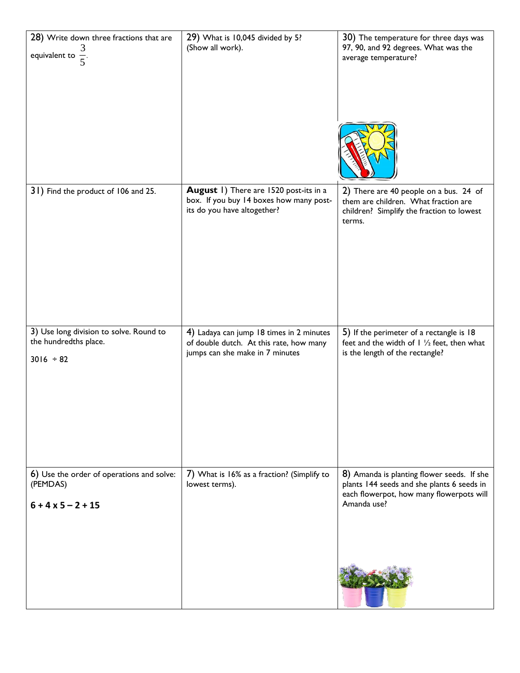| 28) Write down three fractions that are<br>equivalent to $\frac{3}{5}$ .           | 29) What is 10,045 divided by 5?<br>(Show all work).                                                                   | 30) The temperature for three days was<br>97, 90, and 92 degrees. What was the<br>average temperature?                                              |
|------------------------------------------------------------------------------------|------------------------------------------------------------------------------------------------------------------------|-----------------------------------------------------------------------------------------------------------------------------------------------------|
| 31) Find the product of 106 and 25.                                                | August 1) There are 1520 post-its in a<br>box. If you buy 14 boxes how many post-<br>its do you have altogether?       | 2) There are 40 people on a bus. 24 of<br>them are children. What fraction are<br>children? Simplify the fraction to lowest<br>terms.               |
| 3) Use long division to solve. Round to<br>the hundredths place.<br>$3016 \div 82$ | 4) Ladaya can jump 18 times in 2 minutes<br>of double dutch. At this rate, how many<br>jumps can she make in 7 minutes | 5) If the perimeter of a rectangle is 18<br>feet and the width of $\frac{1}{2}$ feet, then what<br>is the length of the rectangle?                  |
| 6) Use the order of operations and solve:<br>(PEMDAS)<br>$6 + 4 \times 5 - 2 + 15$ | 7) What is 16% as a fraction? (Simplify to<br>lowest terms).                                                           | 8) Amanda is planting flower seeds. If she<br>plants 144 seeds and she plants 6 seeds in<br>each flowerpot, how many flowerpots will<br>Amanda use? |